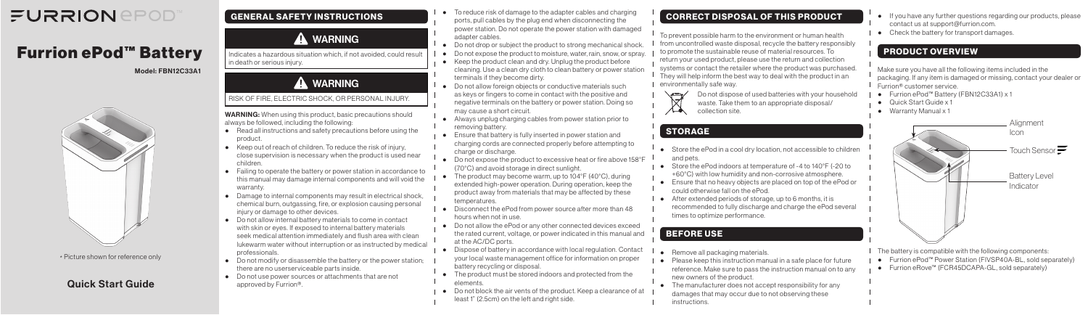## Quick Start Guide

Model: FBN12C33A1



# FURRION *EPOD*

# Furrion ePod™ Battery

#### GENERAL SAFETY INSTRUCTIONS

## **A** WARNING

Indicates a hazardous situation which, if not avoided, could result in death or serious injury.

## **A** WARNING

#### RISK OF FIRE, ELECTRIC SHOCK, OR PERSONAL INJURY.

WARNING: When using this product, basic precautions should always be followed, including the following:

- Read all instructions and safety precautions before using the product.
- Keep out of reach of children. To reduce the risk of injury, close supervision is necessary when the product is used near children.
- Failing to operate the battery or power station in accordance to this manual may damage internal components and will void the warranty.
- Damage to internal components may result in electrical shock, chemical burn, outgassing, fire, or explosion causing personal injury or damage to other devices.
- Do not allow internal battery materials to come in contact with skin or eyes. If exposed to internal battery materials seek medical attention immediately and flush area with clean lukewarm water without interruption or as instructed by medical professionals.
- Do not modify or disassemble the battery or the power station; there are no userserviceable parts inside.
- Do not use power sources or attachments that are not approved by Furrion®.
- To reduce risk of damage to the adapter cables and charging ports, pull cables by the plug end when disconnecting the power station. Do not operate the power station with damaged adapter cables.
- Do not drop or subject the product to strong mechanical shock
- Do not expose the product to moisture, water, rain, snow, or spray.
- Keep the product clean and dry. Unplug the product before cleaning. Use a clean dry cloth to clean battery or power station terminals if they become dirty.
- Do not allow foreign objects or conductive materials such as keys or fingers to come in contact with the positive and negative terminals on the battery or power station. Doing so may cause a short circuit.
- Always unplug charging cables from power station prior to removing battery.
- Ensure that battery is fully inserted in power station and charging cords are connected properly before attempting to charge or discharge.
- Do not expose the product to excessive heat or fire above 158°F (70°C) and avoid storage in direct sunlight.
- The product may become warm, up to 104°F (40°C), during extended high-power operation. During operation, keep the product away from materials that may be affected by these temperatures.
- Disconnect the ePod from power source after more than 48 hours when not in use.
- Do not allow the ePod or any other connected devices exceed the rated current, voltage, or power indicated in this manual and at the AC/DC ports.
- Dispose of battery in accordance with local regulation. Contact your local waste management office for information on proper battery recycling or disposal.
- The product must be stored indoors and protected from the elements.
- Do not block the air vents of the product. Keep a clearance of at least 1" (2.5cm) on the left and right side.
- Store the ePod in a cool dry location, not accessible to children and pets.
- Store the ePod indoors at temperature of -4 to 140°F (-20 to +60°C) with low humidity and non-corrosive atmosphere.
- Ensure that no heavy objects are placed on top of the ePod or could otherwise fall on the ePod.
- After extended periods of storage, up to 6 months, it is recommended to fully discharge and charge the ePod several times to optimize performance.

- Remove all packaging materials.
- Please keep this instruction manual in a safe place for future reference. Make sure to pass the instruction manual on to any new owners of the product.
- The manufacturer does not accept responsibility for any damages that may occur due to not observing these instructions.
- If you have any further questions regarding our products, please contact us at support@furrion.com.
- Check the battery for transport damages.

### CORRECT DISPOSAL OF THIS PRODUCT

To prevent possible harm to the environment or human health from uncontrolled waste disposal, recycle the battery responsibly to promote the sustainable reuse of material resources. To return your used product, please use the return and collection systems or contact the retailer where the product was purchased.  $\perp$  They will help inform the best way to deal with the product in an environmentally safe way.



Do not dispose of used batteries with your household

waste. Take them to an appropriate disposal/ collection site.

## STORAGE

#### BEFORE USE

### PRODUCT OVERVIEW

Make sure you have all the following items included in the packaging. If any item is damaged or missing, contact your dealer or Furrion® customer service.

- Furrion ePod™ Battery (FBN12C33A1) x 1
- Quick Start Guide x 1
- Warranty Manual x 1



The battery is compatible with the following components:

- Furrion ePod™ Power Station (FIVSP40A-BL, sold separately)
- Furrion eRove™ (FCR45DCAPA-GL, sold separately)

\* Picture shown for reference only